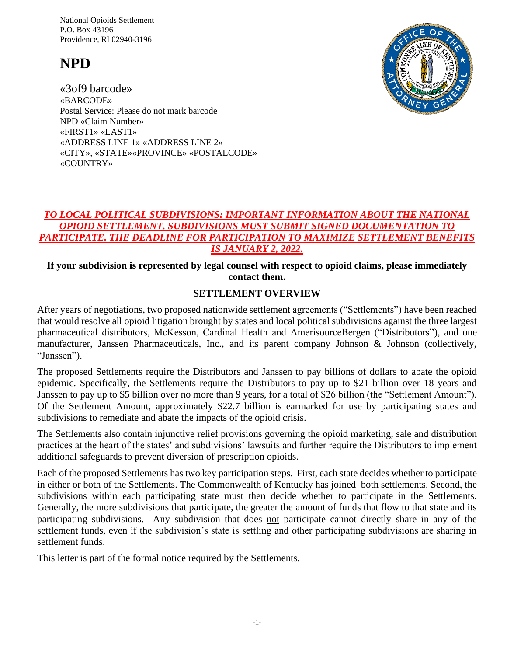National Opioids Settlement P.O. Box 43196 Providence, RI 02940-3196

# **NPD**





## *TO LOCAL POLITICAL SUBDIVISIONS: IMPORTANT INFORMATION ABOUT THE NATIONAL OPIOID SETTLEMENT. SUBDIVISIONS MUST SUBMIT SIGNED DOCUMENTATION TO PARTICIPATE. THE DEADLINE FOR PARTICIPATION TO MAXIMIZE SETTLEMENT BENEFITS IS JANUARY 2, 2022.*

## **If your subdivision is represented by legal counsel with respect to opioid claims, please immediately contact them.**

### **SETTLEMENT OVERVIEW**

After years of negotiations, two proposed nationwide settlement agreements ("Settlements") have been reached that would resolve all opioid litigation brought by states and local political subdivisions against the three largest pharmaceutical distributors, McKesson, Cardinal Health and AmerisourceBergen ("Distributors"), and one manufacturer, Janssen Pharmaceuticals, Inc., and its parent company Johnson & Johnson (collectively, "Janssen").

The proposed Settlements require the Distributors and Janssen to pay billions of dollars to abate the opioid epidemic. Specifically, the Settlements require the Distributors to pay up to \$21 billion over 18 years and Janssen to pay up to \$5 billion over no more than 9 years, for a total of \$26 billion (the "Settlement Amount"). Of the Settlement Amount, approximately \$22.7 billion is earmarked for use by participating states and subdivisions to remediate and abate the impacts of the opioid crisis.

The Settlements also contain injunctive relief provisions governing the opioid marketing, sale and distribution practices at the heart of the states' and subdivisions' lawsuits and further require the Distributors to implement additional safeguards to prevent diversion of prescription opioids.

Each of the proposed Settlements has two key participation steps. First, each state decides whether to participate in either or both of the Settlements. The Commonwealth of Kentucky has joined both settlements. Second, the subdivisions within each participating state must then decide whether to participate in the Settlements. Generally, the more subdivisions that participate, the greater the amount of funds that flow to that state and its participating subdivisions. Any subdivision that does not participate cannot directly share in any of the settlement funds, even if the subdivision's state is settling and other participating subdivisions are sharing in settlement funds.

This letter is part of the formal notice required by the Settlements.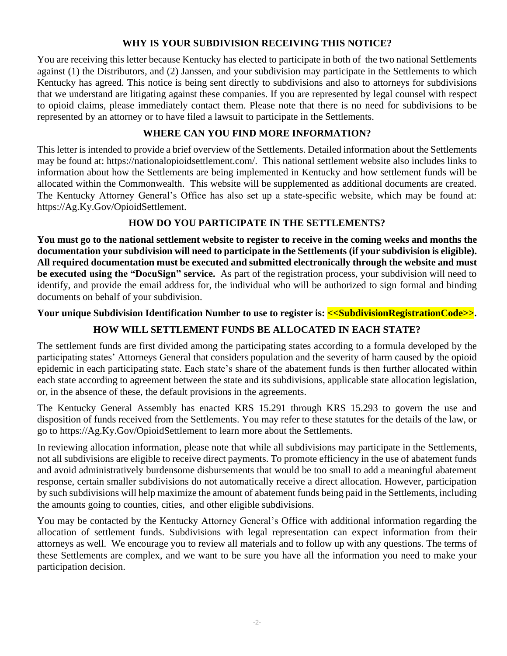## **WHY IS YOUR SUBDIVISION RECEIVING THIS NOTICE?**

You are receiving this letter because Kentucky has elected to participate in both of the two national Settlements against (1) the Distributors, and (2) Janssen, and your subdivision may participate in the Settlements to which Kentucky has agreed. This notice is being sent directly to subdivisions and also to attorneys for subdivisions that we understand are litigating against these companies. If you are represented by legal counsel with respect to opioid claims, please immediately contact them. Please note that there is no need for subdivisions to be represented by an attorney or to have filed a lawsuit to participate in the Settlements.

## **WHERE CAN YOU FIND MORE INFORMATION?**

This letter is intended to provide a brief overview of the Settlements. Detailed information about the Settlements may be found at: https://nationalopioidsettlement.com/. This national settlement website also includes links to information about how the Settlements are being implemented in Kentucky and how settlement funds will be allocated within the Commonwealth. This website will be supplemented as additional documents are created. The Kentucky Attorney General's Office has also set up a state-specific website, which may be found at: https://Ag.Ky.Gov/OpioidSettlement.

## **HOW DO YOU PARTICIPATE IN THE SETTLEMENTS?**

**You must go to the national settlement website to register to receive in the coming weeks and months the documentation your subdivision will need to participate in the Settlements (if your subdivision is eligible). All required documentation must be executed and submitted electronically through the website and must be executed using the "DocuSign" service.** As part of the registration process, your subdivision will need to identify, and provide the email address for, the individual who will be authorized to sign formal and binding documents on behalf of your subdivision.

### Your unique Subdivision Identification Number to use to register is: <<SubdivisionRegistrationCode>>.

## **HOW WILL SETTLEMENT FUNDS BE ALLOCATED IN EACH STATE?**

The settlement funds are first divided among the participating states according to a formula developed by the participating states' Attorneys General that considers population and the severity of harm caused by the opioid epidemic in each participating state. Each state's share of the abatement funds is then further allocated within each state according to agreement between the state and its subdivisions, applicable state allocation legislation, or, in the absence of these, the default provisions in the agreements.

The Kentucky General Assembly has enacted KRS 15.291 through KRS 15.293 to govern the use and disposition of funds received from the Settlements. You may refer to these statutes for the details of the law, or go to https://Ag.Ky.Gov/OpioidSettlement to learn more about the Settlements.

In reviewing allocation information, please note that while all subdivisions may participate in the Settlements, not all subdivisions are eligible to receive direct payments. To promote efficiency in the use of abatement funds and avoid administratively burdensome disbursements that would be too small to add a meaningful abatement response, certain smaller subdivisions do not automatically receive a direct allocation. However, participation by such subdivisions will help maximize the amount of abatement funds being paid in the Settlements, including the amounts going to counties, cities, and other eligible subdivisions.

You may be contacted by the Kentucky Attorney General's Office with additional information regarding the allocation of settlement funds. Subdivisions with legal representation can expect information from their attorneys as well. We encourage you to review all materials and to follow up with any questions. The terms of these Settlements are complex, and we want to be sure you have all the information you need to make your participation decision.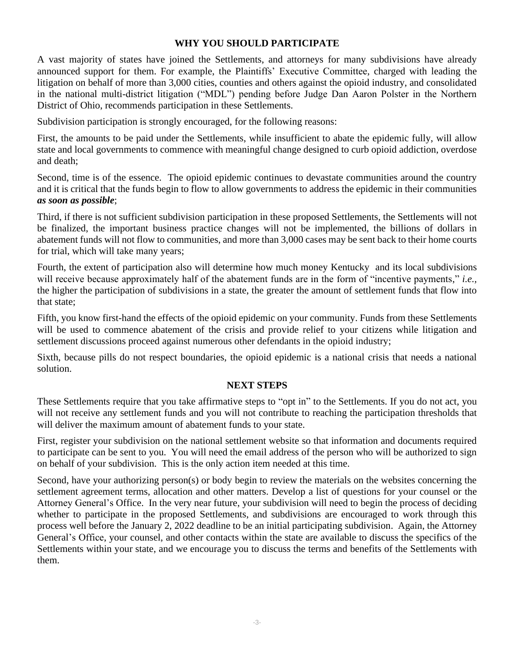### **WHY YOU SHOULD PARTICIPATE**

A vast majority of states have joined the Settlements, and attorneys for many subdivisions have already announced support for them. For example, the Plaintiffs' Executive Committee, charged with leading the litigation on behalf of more than 3,000 cities, counties and others against the opioid industry, and consolidated in the national multi-district litigation ("MDL") pending before Judge Dan Aaron Polster in the Northern District of Ohio, recommends participation in these Settlements.

Subdivision participation is strongly encouraged, for the following reasons:

First, the amounts to be paid under the Settlements, while insufficient to abate the epidemic fully, will allow state and local governments to commence with meaningful change designed to curb opioid addiction, overdose and death;

Second, time is of the essence. The opioid epidemic continues to devastate communities around the country and it is critical that the funds begin to flow to allow governments to address the epidemic in their communities *as soon as possible*;

Third, if there is not sufficient subdivision participation in these proposed Settlements, the Settlements will not be finalized, the important business practice changes will not be implemented, the billions of dollars in abatement funds will not flow to communities, and more than 3,000 cases may be sent back to their home courts for trial, which will take many years;

Fourth, the extent of participation also will determine how much money Kentucky and its local subdivisions will receive because approximately half of the abatement funds are in the form of "incentive payments," *i.e.*, the higher the participation of subdivisions in a state, the greater the amount of settlement funds that flow into that state;

Fifth, you know first-hand the effects of the opioid epidemic on your community. Funds from these Settlements will be used to commence abatement of the crisis and provide relief to your citizens while litigation and settlement discussions proceed against numerous other defendants in the opioid industry;

Sixth, because pills do not respect boundaries, the opioid epidemic is a national crisis that needs a national solution.

### **NEXT STEPS**

These Settlements require that you take affirmative steps to "opt in" to the Settlements. If you do not act, you will not receive any settlement funds and you will not contribute to reaching the participation thresholds that will deliver the maximum amount of abatement funds to your state.

First, register your subdivision on the national settlement website so that information and documents required to participate can be sent to you. You will need the email address of the person who will be authorized to sign on behalf of your subdivision. This is the only action item needed at this time.

Second, have your authorizing person(s) or body begin to review the materials on the websites concerning the settlement agreement terms, allocation and other matters. Develop a list of questions for your counsel or the Attorney General's Office. In the very near future, your subdivision will need to begin the process of deciding whether to participate in the proposed Settlements, and subdivisions are encouraged to work through this process well before the January 2, 2022 deadline to be an initial participating subdivision. Again, the Attorney General's Office, your counsel, and other contacts within the state are available to discuss the specifics of the Settlements within your state, and we encourage you to discuss the terms and benefits of the Settlements with them.